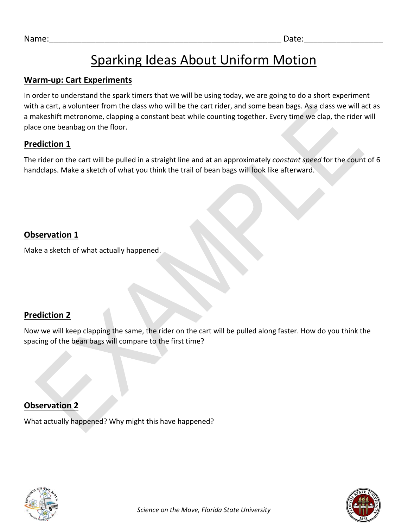# Sparking Ideas About Uniform Motion

### **Warm-up: Cart Experiments**

In order to understand the spark timers that we will be using today, we are going to do a short experiment with a cart, a volunteer from the class who will be the cart rider, and some bean bags. As a class we will act as a makeshift metronome, clapping a constant beat while counting together. Every time we clap, the rider will place one beanbag on the floor.

### **Prediction 1**

The rider on the cart will be pulled in a straight line and at an approximately *constant speed* for the count of 6 handclaps. Make a sketch of what you think the trail of bean bags will look like afterward.

# **Observation 1**

Make a sketch of what actually happened.

# **Prediction 2**

Now we will keep clapping the same, the rider on the cart will be pulled along faster. How do you think the spacing of the bean bags will compare to the first time?

# **Observation 2**

What actually happened? Why might this have happened?

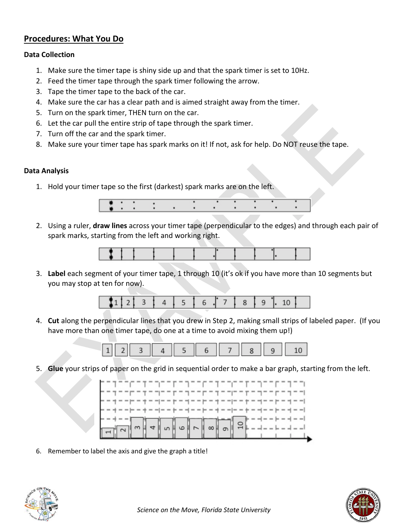#### **Procedures: What You Do**

#### **Data Collection**

- 1. Make sure the timer tape is shiny side up and that the spark timer is set to 10Hz.
- 2. Feed the timer tape through the spark timer following the arrow.
- 3. Tape the timer tape to the back of the car.
- 4. Make sure the car has a clear path and is aimed straight away from the timer.
- 5. Turn on the spark timer, THEN turn on the car.
- 6. Let the car pull the entire strip of tape through the spark timer.
- 7. Turn off the car and the spark timer.
- 8. Make sure your timer tape has spark marks on it! If not, ask for help. Do NOT reuse the tape.

#### **Data Analysis**

1. Hold your timer tape so the first (darkest) spark marks are on the left.



2. Using a ruler, **draw lines** across your timer tape (perpendicular to the edges) and through each pair of spark marks, starting from the left and working right.



3. **Label** each segment of your timer tape, 1 through 10 (it's ok if you have more than 10 segments but you may stop at ten for now).



4. **Cut** along the perpendicular lines that you drew in Step 2, making small strips of labeled paper. (If you have more than one timer tape, do one at a time to avoid mixing them up!)



5. **Glue** your strips of paper on the grid in sequential order to make a bar graph, starting from the left.



6. Remember to label the axis and give the graph a title!



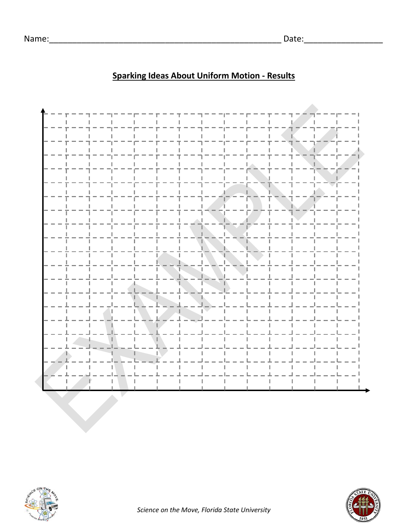# **Sparking Ideas About Uniform Motion - Results**